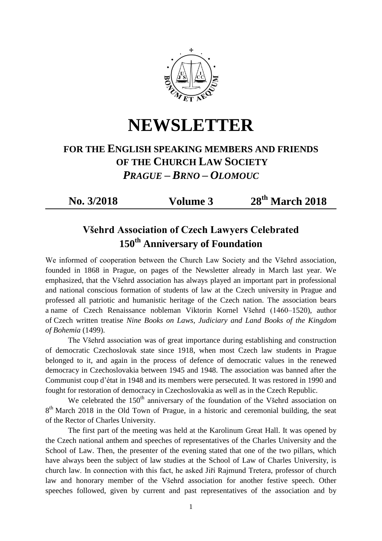

**NEWSLETTER**

## **FOR THE ENGLISH SPEAKING MEMBERS AND FRIENDS OF THE CHURCH LAW SOCIETY**  *PRAGUE – BRNO – OLOMOUC*

**No. 3/2018 Volume 3** 

**th March 2018**

## **Všehrd Association of Czech Lawyers Celebrated 150th Anniversary of Foundation**

We informed of cooperation between the Church Law Society and the Všehrd association, founded in 1868 in Prague, on pages of the Newsletter already in March last year. We emphasized, that the Všehrd association has always played an important part in professional and national conscious formation of students of law at the Czech university in Prague and professed all patriotic and humanistic heritage of the Czech nation. The association bears a name of Czech Renaissance nobleman Viktorin Kornel Všehrd (1460–1520), author of Czech written treatise *Nine Books on Laws, Judiciary and Land Books of the Kingdom of Bohemia* (1499).

The Všehrd association was of great importance during establishing and construction of democratic Czechoslovak state since 1918, when most Czech law students in Prague belonged to it, and again in the process of defence of democratic values in the renewed democracy in Czechoslovakia between 1945 and 1948. The association was banned after the Communist coup d'état in 1948 and its members were persecuted. It was restored in 1990 and fought for restoration of democracy in Czechoslovakia as well as in the Czech Republic.

We celebrated the  $150<sup>th</sup>$  anniversary of the foundation of the Všehrd association on  $8<sup>th</sup>$  March 2018 in the Old Town of Prague, in a historic and ceremonial building, the seat of the Rector of Charles University.

The first part of the meeting was held at the Karolinum Great Hall. It was opened by the Czech national anthem and speeches of representatives of the Charles University and the School of Law. Then, the presenter of the evening stated that one of the two pillars, which have always been the subject of law studies at the School of Law of Charles University, is church law. In connection with this fact, he asked Jiří Rajmund Tretera, professor of church law and honorary member of the Všehrd association for another festive speech. Other speeches followed, given by current and past representatives of the association and by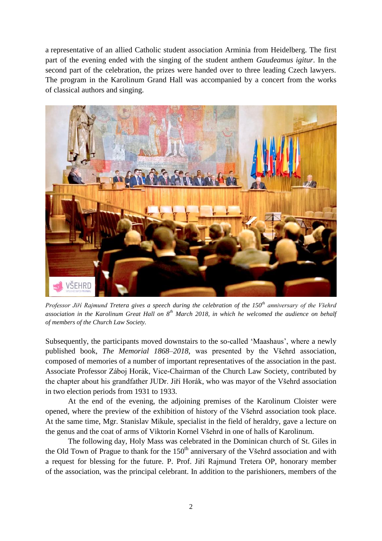a representative of an allied Catholic student association Arminia from Heidelberg. The first part of the evening ended with the singing of the student anthem *Gaudeamus igitur*. In the second part of the celebration, the prizes were handed over to three leading Czech lawyers. The program in the Karolinum Grand Hall was accompanied by a concert from the works of classical authors and singing.



*Professor Jiří Rajmund Tretera gives a speech during the celebration of the 150th anniversary of the Všehrd association in the Karolinum Great Hall on 8th March 2018, in which he welcomed the audience on behalf of members of the Church Law Society.*

Subsequently, the participants moved downstairs to the so-called 'Maashaus', where a newly published book, *The Memorial 1868–2018*, was presented by the Všehrd association, composed of memories of a number of important representatives of the association in the past. Associate Professor Záboj Horák, Vice-Chairman of the Church Law Society, contributed by the chapter about his grandfather JUDr. Jiří Horák, who was mayor of the Všehrd association in two election periods from 1931 to 1933.

At the end of the evening, the adjoining premises of the Karolinum Cloister were opened, where the preview of the exhibition of history of the Všehrd association took place. At the same time, Mgr. Stanislav Mikule, specialist in the field of heraldry, gave a lecture on the genus and the coat of arms of Viktorin Kornel Všehrd in one of halls of Karolinum.

The following day, Holy Mass was celebrated in the Dominican church of St. Giles in the Old Town of Prague to thank for the  $150<sup>th</sup>$  anniversary of the Všehrd association and with a request for blessing for the future. P. Prof. Jiří Rajmund Tretera OP, honorary member of the association, was the principal celebrant. In addition to the parishioners, members of the